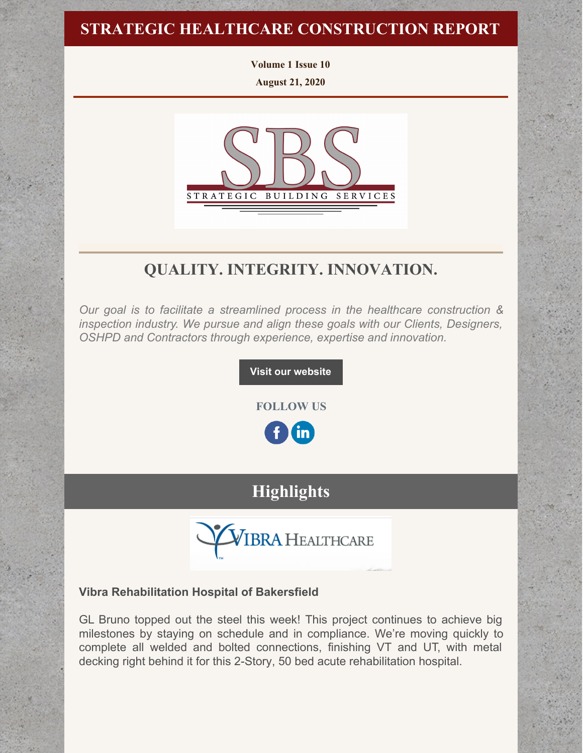# **STRATEGIC HEALTHCARE CONSTRUCTION REPORT**

**Volume 1 Issue 10 August 21, 2020**



# **QUALITY. INTEGRITY. INNOVATION.**

*Our goal is to facilitate a streamlined process in the healthcare construction & inspection industry. We pursue and align these goals with our Clients, Designers, OSHPD and Contractors through experience, expertise and innovation.*

**Visit our [website](http://www.strategic-building.com/)**

**FOLLOW US**

<u>in</u>

# **Highlights**



## **Vibra Rehabilitation Hospital of Bakersfield**

GL Bruno topped out the steel this week! This project continues to achieve big milestones by staying on schedule and in compliance. We're moving quickly to complete all welded and bolted connections, finishing VT and UT, with metal decking right behind it for this 2-Story, 50 bed acute rehabilitation hospital.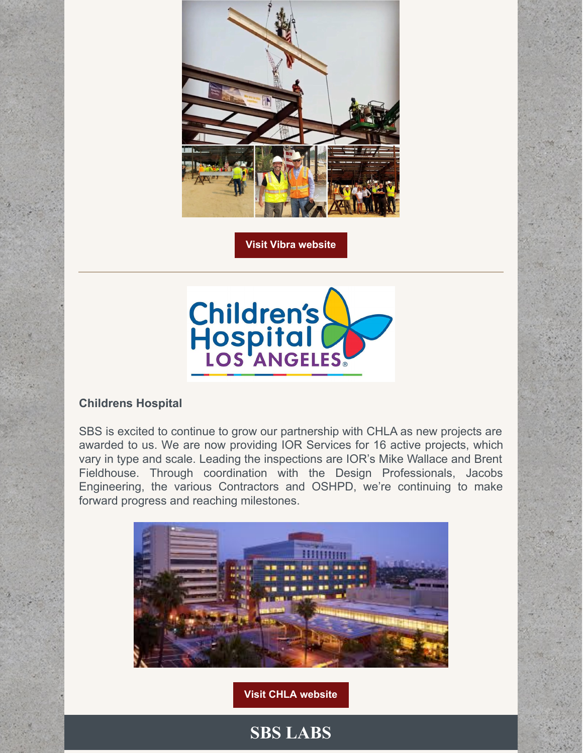

**Visit Vibra [website](https://www.vibrahealthcare.com/)**



## **Childrens Hospital**

SBS is excited to continue to grow our partnership with CHLA as new projects are awarded to us. We are now providing IOR Services for 16 active projects, which vary in type and scale. Leading the inspections are IOR's Mike Wallace and Brent Fieldhouse. Through coordination with the Design Professionals, Jacobs Engineering, the various Contractors and OSHPD, we're continuing to make forward progress and reaching milestones.



**Visit CHLA [website](https://www.chla.org/)**

**SBS LABS**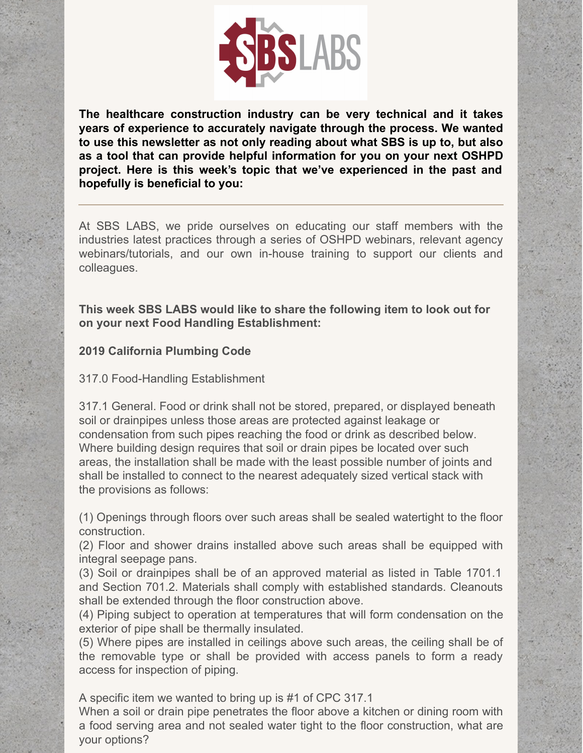

**The healthcare construction industry can be very technical and it takes years of experience to accurately navigate through the process. We wanted to use this newsletter as not only reading about what SBS is up to, but also as a tool that can provide helpful information for you on your next OSHPD project. Here is this week's topic that we've experienced in the past and hopefully is beneficial to you:**

At SBS LABS, we pride ourselves on educating our staff members with the industries latest practices through a series of OSHPD webinars, relevant agency webinars/tutorials, and our own in-house training to support our clients and colleagues.

**This week SBS LABS would like to share the following item to look out for on your next Food Handling Establishment:**

## **2019 California Plumbing Code**

317.0 Food-Handling Establishment

317.1 General. Food or drink shall not be stored, prepared, or displayed beneath soil or drainpipes unless those areas are protected against leakage or condensation from such pipes reaching the food or drink as described below. Where building design requires that soil or drain pipes be located over such areas, the installation shall be made with the least possible number of joints and shall be installed to connect to the nearest adequately sized vertical stack with the provisions as follows:

(1) Openings through floors over such areas shall be sealed watertight to the floor construction.

(2) Floor and shower drains installed above such areas shall be equipped with integral seepage pans.

(3) Soil or drainpipes shall be of an approved material as listed in Table 1701.1 and Section 701.2. Materials shall comply with established standards. Cleanouts shall be extended through the floor construction above.

(4) Piping subject to operation at temperatures that will form condensation on the exterior of pipe shall be thermally insulated.

(5) Where pipes are installed in ceilings above such areas, the ceiling shall be of the removable type or shall be provided with access panels to form a ready access for inspection of piping.

A specific item we wanted to bring up is #1 of CPC 317.1

When a soil or drain pipe penetrates the floor above a kitchen or dining room with a food serving area and not sealed water tight to the floor construction, what are your options?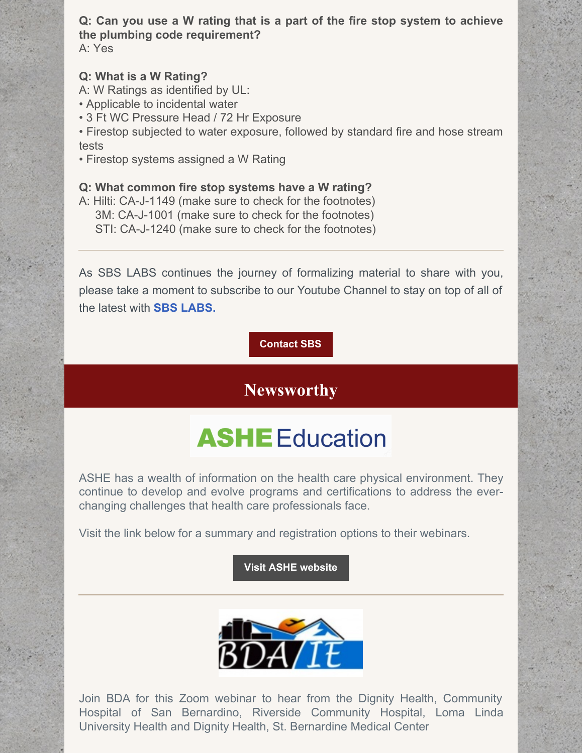**Q: Can you use a W rating that is a part of the fire stop system to achieve the plumbing code requirement?** A: Yes

### **Q: What is a W Rating?**

A: W Ratings as identified by UL:

- Applicable to incidental water
- 3 Ft WC Pressure Head / 72 Hr Exposure
- Firestop subjected to water exposure, followed by standard fire and hose stream tests
- Firestop systems assigned a W Rating

#### **Q: What common fire stop systems have a W rating?**

A: Hilti: CA-J-1149 (make sure to check for the footnotes) 3M: CA-J-1001 (make sure to check for the footnotes) STI: CA-J-1240 (make sure to check for the footnotes)

As SBS LABS continues the journey of formalizing material to share with you, please take a moment to subscribe to our Youtube Channel to stay on top of all of the latest with **SBS [LABS.](https://www.youtube.com/channel/UCfR7qiqf9X9tzNf1jD-an_Q)**

### **[Contact](http://www.strategic-building.com/contacts) SBS**

# **Newsworthy**

# **ASHE** Education

ASHE has a wealth of information on the health care physical environment. They continue to develop and evolve programs and certifications to address the everchanging challenges that health care professionals face.

Visit the link below for a summary and registration options to their webinars.

#### **Visit ASHE [website](https://www.ashe.org/education/webinars-1)**



Join BDA for this Zoom webinar to hear from the Dignity Health, Community Hospital of San Bernardino, Riverside Community Hospital, Loma Linda University Health and Dignity Health, St. Bernardine Medical Center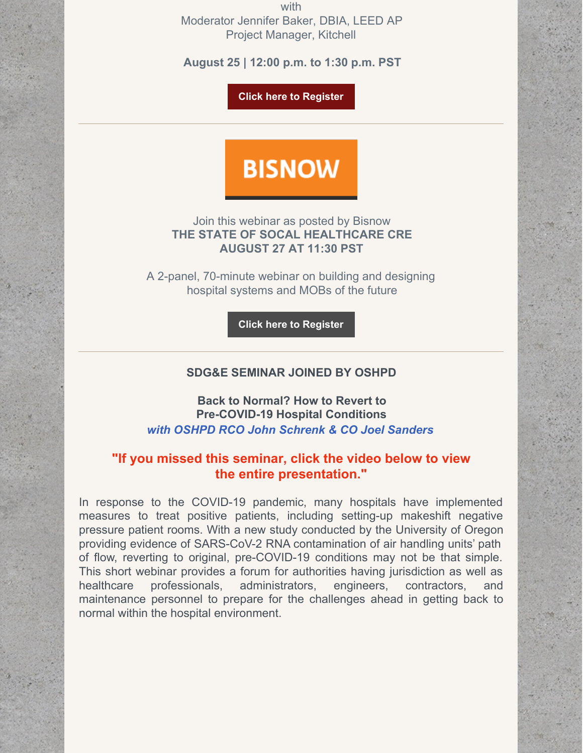with Moderator Jennifer Baker, DBIA, LEED AP Project Manager, Kitchell

**August 25 | 12:00 p.m. to 1:30 p.m. PST**

**Click here to [Register](http://bdaie.net/wp/)**

# **BISNOW**

Join this webinar as posted by Bisnow **THE STATE OF SOCAL HEALTHCARE CRE AUGUST 27 AT 11:30 PST**

A 2-panel, 70-minute webinar on building and designing hospital systems and MOBs of the future

**Click here to [Register](https://www.bisnow.com/webinar/los-angeles/the-state-of-socal-healthcare-cre-5747?modal=login)**

### **SDG&E SEMINAR JOINED BY OSHPD**

**Back to Normal? How to Revert to Pre-COVID-19 Hospital Conditions** *with OSHPD RCO John Schrenk & CO Joel Sanders*

## **"If you missed this seminar, click the video below to view the entire presentation."**

In response to the COVID-19 pandemic, many hospitals have implemented measures to treat positive patients, including setting-up makeshift negative pressure patient rooms. With a new study conducted by the University of Oregon providing evidence of SARS-CoV-2 RNA contamination of air handling units' path of flow, reverting to original, pre-COVID-19 conditions may not be that simple. This short webinar provides a forum for authorities having jurisdiction as well as healthcare professionals, administrators, engineers, contractors, and maintenance personnel to prepare for the challenges ahead in getting back to normal within the hospital environment.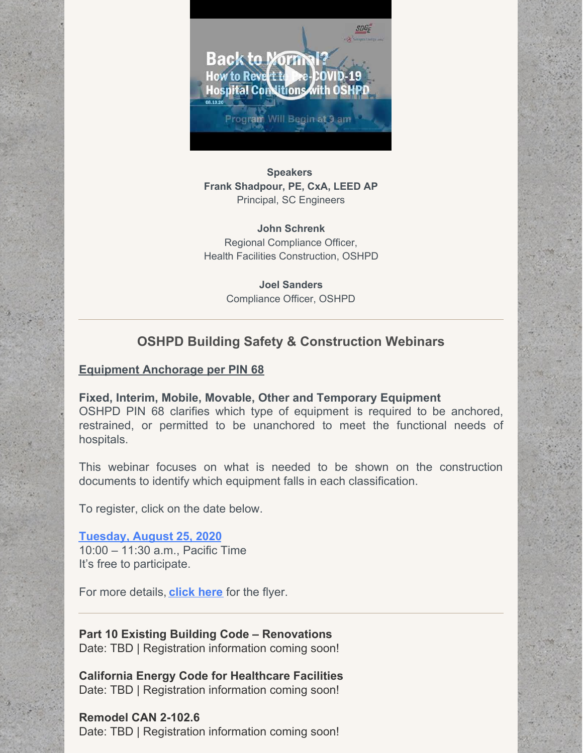

**Speakers Frank Shadpour, PE, CxA, LEED AP** Principal, SC Engineers

**John Schrenk** Regional Compliance Officer, Health Facilities Construction, OSHPD

> **Joel Sanders** Compliance Officer, OSHPD

## **OSHPD Building Safety & Construction Webinars**

### **Equipment Anchorage per PIN 68**

**Fixed, Interim, Mobile, Movable, Other and Temporary Equipment** OSHPD PIN 68 clarifies which type of equipment is required to be anchored, restrained, or permitted to be unanchored to meet the functional needs of hospitals.

This webinar focuses on what is needed to be shown on the construction documents to identify which equipment falls in each classification.

To register, click on the date below.

**[Tuesday,](https://register.gotowebinar.com/register/5079370295224287247) August 25, 2020** 10:00 – 11:30 a.m., Pacific Time It's free to participate.

For more details, **[click](https://oshpd.ca.gov/ml/v1/resources/document?rs:path=/Construction-And-Finance/Documents/Hospital-Building-Safety-Board/Seminar/2020/PIN-68-Flyer-8-25-20-A.pdf) here** for the flyer.

**Part 10 Existing Building Code – Renovations** Date: TBD | Registration information coming soon!

**California Energy Code for Healthcare Facilities** Date: TBD | Registration information coming soon!

**Remodel CAN 2-102.6** Date: TBD | Registration information coming soon!